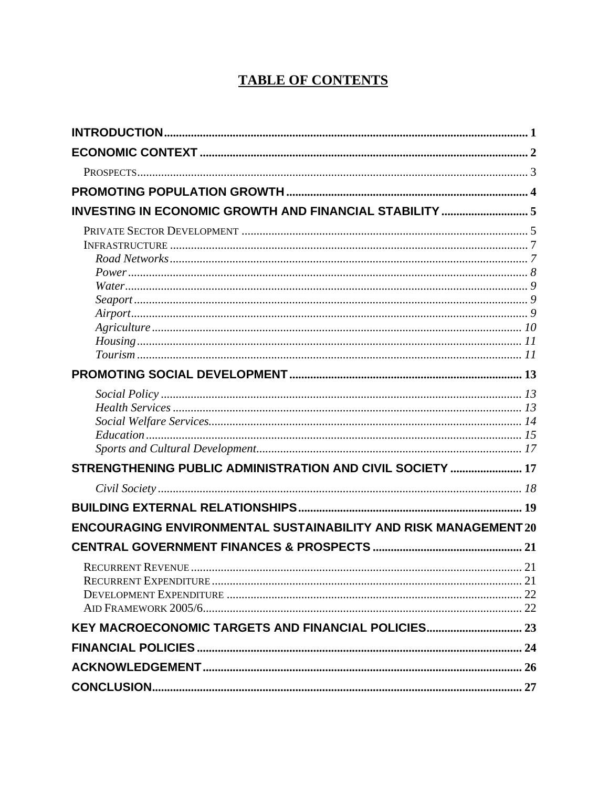# **TABLE OF CONTENTS**

| INVESTING IN ECONOMIC GROWTH AND FINANCIAL STABILITY  5                |  |
|------------------------------------------------------------------------|--|
|                                                                        |  |
|                                                                        |  |
|                                                                        |  |
|                                                                        |  |
|                                                                        |  |
|                                                                        |  |
|                                                                        |  |
|                                                                        |  |
|                                                                        |  |
|                                                                        |  |
|                                                                        |  |
|                                                                        |  |
|                                                                        |  |
|                                                                        |  |
|                                                                        |  |
|                                                                        |  |
| STRENGTHENING PUBLIC ADMINISTRATION AND CIVIL SOCIETY  17              |  |
|                                                                        |  |
|                                                                        |  |
| <b>ENCOURAGING ENVIRONMENTAL SUSTAINABILITY AND RISK MANAGEMENT 20</b> |  |
|                                                                        |  |
|                                                                        |  |
|                                                                        |  |
|                                                                        |  |
|                                                                        |  |
| KEY MACROECONOMIC TARGETS AND FINANCIAL POLICIES 23                    |  |
|                                                                        |  |
|                                                                        |  |
|                                                                        |  |
|                                                                        |  |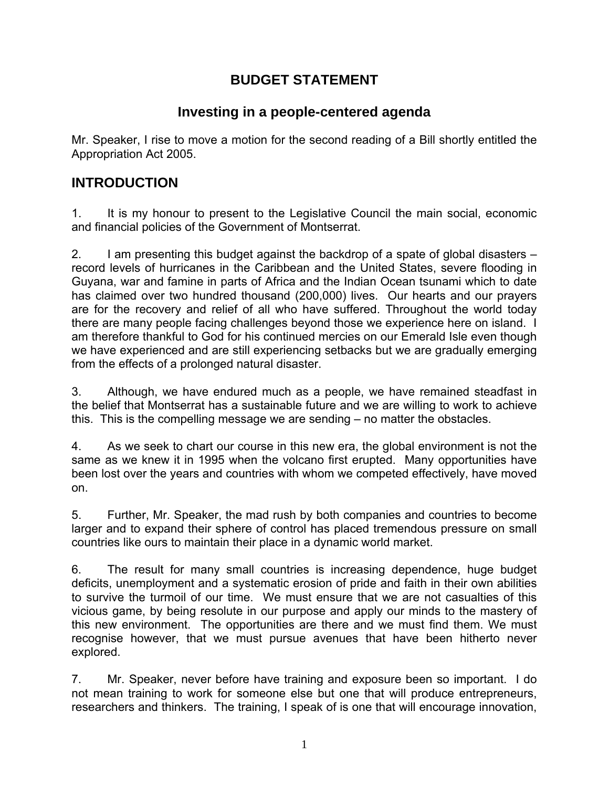## **BUDGET STATEMENT**

## **Investing in a people-centered agenda**

Mr. Speaker, I rise to move a motion for the second reading of a Bill shortly entitled the Appropriation Act 2005.

### **INTRODUCTION**

1. It is my honour to present to the Legislative Council the main social, economic and financial policies of the Government of Montserrat.

2. I am presenting this budget against the backdrop of a spate of global disasters – record levels of hurricanes in the Caribbean and the United States, severe flooding in Guyana, war and famine in parts of Africa and the Indian Ocean tsunami which to date has claimed over two hundred thousand (200,000) lives. Our hearts and our prayers are for the recovery and relief of all who have suffered. Throughout the world today there are many people facing challenges beyond those we experience here on island. I am therefore thankful to God for his continued mercies on our Emerald Isle even though we have experienced and are still experiencing setbacks but we are gradually emerging from the effects of a prolonged natural disaster.

3. Although, we have endured much as a people, we have remained steadfast in the belief that Montserrat has a sustainable future and we are willing to work to achieve this. This is the compelling message we are sending – no matter the obstacles.

4. As we seek to chart our course in this new era, the global environment is not the same as we knew it in 1995 when the volcano first erupted. Many opportunities have been lost over the years and countries with whom we competed effectively, have moved on.

5. Further, Mr. Speaker, the mad rush by both companies and countries to become larger and to expand their sphere of control has placed tremendous pressure on small countries like ours to maintain their place in a dynamic world market.

6. The result for many small countries is increasing dependence, huge budget deficits, unemployment and a systematic erosion of pride and faith in their own abilities to survive the turmoil of our time. We must ensure that we are not casualties of this vicious game, by being resolute in our purpose and apply our minds to the mastery of this new environment. The opportunities are there and we must find them. We must recognise however, that we must pursue avenues that have been hitherto never explored.

7. Mr. Speaker, never before have training and exposure been so important. I do not mean training to work for someone else but one that will produce entrepreneurs, researchers and thinkers. The training, I speak of is one that will encourage innovation,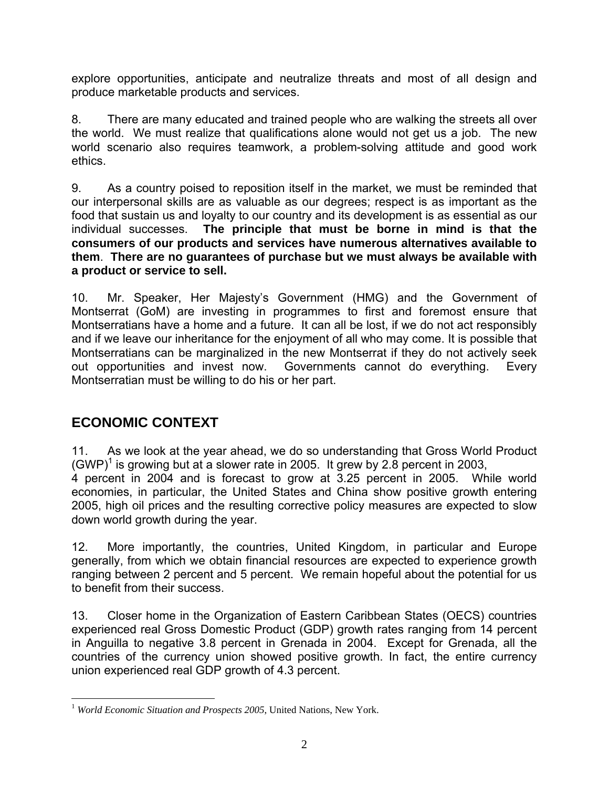explore opportunities, anticipate and neutralize threats and most of all design and produce marketable products and services.

8. There are many educated and trained people who are walking the streets all over the world. We must realize that qualifications alone would not get us a job. The new world scenario also requires teamwork, a problem-solving attitude and good work ethics.

9. As a country poised to reposition itself in the market, we must be reminded that our interpersonal skills are as valuable as our degrees; respect is as important as the food that sustain us and loyalty to our country and its development is as essential as our individual successes. **The principle that must be borne in mind is that the consumers of our products and services have numerous alternatives available to them**. **There are no guarantees of purchase but we must always be available with a product or service to sell.**

10. Mr. Speaker, Her Majesty's Government (HMG) and the Government of Montserrat (GoM) are investing in programmes to first and foremost ensure that Montserratians have a home and a future. It can all be lost, if we do not act responsibly and if we leave our inheritance for the enjoyment of all who may come. It is possible that Montserratians can be marginalized in the new Montserrat if they do not actively seek out opportunities and invest now. Governments cannot do everything. Every Montserratian must be willing to do his or her part.

# **ECONOMIC CONTEXT**

11. As we look at the year ahead, we do so understanding that Gross World Product (GWP)<sup>1</sup> is growing but at a slower rate in 2005. It grew by 2.8 percent in 2003, 4 percent in 2004 and is forecast to grow at 3.25 percent in 2005. While world economies, in particular, the United States and China show positive growth entering 2005, high oil prices and the resulting corrective policy measures are expected to slow down world growth during the year.

12. More importantly, the countries, United Kingdom, in particular and Europe generally, from which we obtain financial resources are expected to experience growth ranging between 2 percent and 5 percent. We remain hopeful about the potential for us to benefit from their success.

13. Closer home in the Organization of Eastern Caribbean States (OECS) countries experienced real Gross Domestic Product (GDP) growth rates ranging from 14 percent in Anguilla to negative 3.8 percent in Grenada in 2004. Except for Grenada, all the countries of the currency union showed positive growth. In fact, the entire currency union experienced real GDP growth of 4.3 percent.

<sup>&</sup>lt;u>.</u> <sup>1</sup> World Economic Situation and Prospects 2005, United Nations, New York.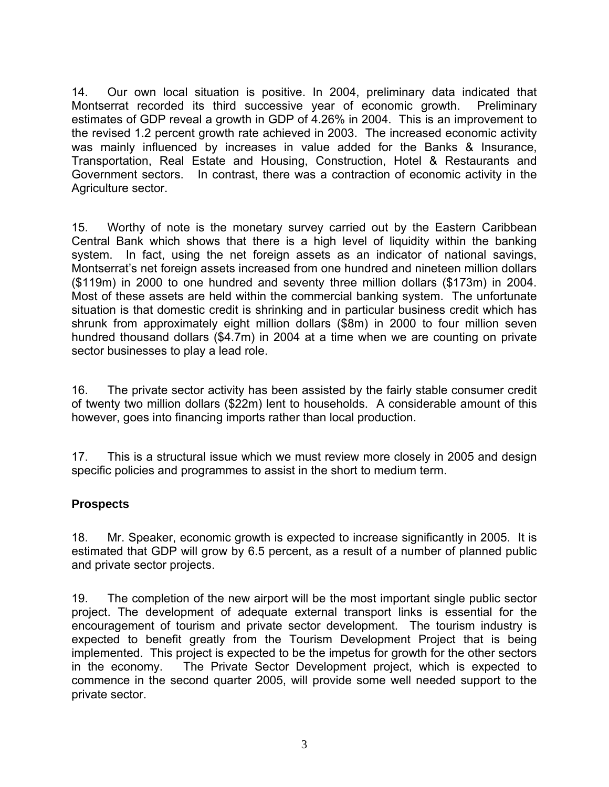14. Our own local situation is positive. In 2004, preliminary data indicated that Montserrat recorded its third successive year of economic growth. Preliminary estimates of GDP reveal a growth in GDP of 4.26% in 2004. This is an improvement to the revised 1.2 percent growth rate achieved in 2003. The increased economic activity was mainly influenced by increases in value added for the Banks & Insurance, Transportation, Real Estate and Housing, Construction, Hotel & Restaurants and Government sectors. In contrast, there was a contraction of economic activity in the Agriculture sector.

15. Worthy of note is the monetary survey carried out by the Eastern Caribbean Central Bank which shows that there is a high level of liquidity within the banking system. In fact, using the net foreign assets as an indicator of national savings, Montserrat's net foreign assets increased from one hundred and nineteen million dollars (\$119m) in 2000 to one hundred and seventy three million dollars (\$173m) in 2004. Most of these assets are held within the commercial banking system. The unfortunate situation is that domestic credit is shrinking and in particular business credit which has shrunk from approximately eight million dollars (\$8m) in 2000 to four million seven hundred thousand dollars (\$4.7m) in 2004 at a time when we are counting on private sector businesses to play a lead role.

16. The private sector activity has been assisted by the fairly stable consumer credit of twenty two million dollars (\$22m) lent to households. A considerable amount of this however, goes into financing imports rather than local production.

17. This is a structural issue which we must review more closely in 2005 and design specific policies and programmes to assist in the short to medium term.

#### **Prospects**

18. Mr. Speaker, economic growth is expected to increase significantly in 2005. It is estimated that GDP will grow by 6.5 percent, as a result of a number of planned public and private sector projects.

19. The completion of the new airport will be the most important single public sector project. The development of adequate external transport links is essential for the encouragement of tourism and private sector development. The tourism industry is expected to benefit greatly from the Tourism Development Project that is being implemented. This project is expected to be the impetus for growth for the other sectors in the economy. The Private Sector Development project, which is expected to commence in the second quarter 2005, will provide some well needed support to the private sector.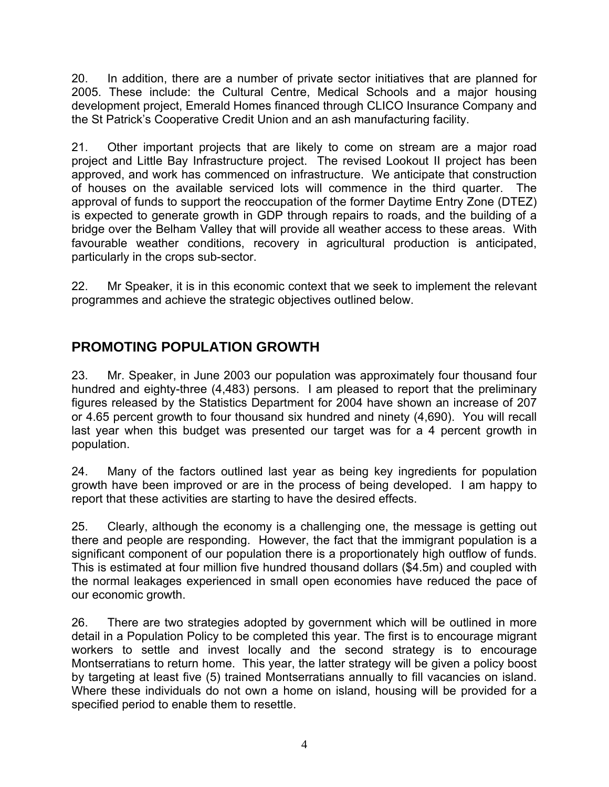20. In addition, there are a number of private sector initiatives that are planned for 2005. These include: the Cultural Centre, Medical Schools and a major housing development project, Emerald Homes financed through CLICO Insurance Company and the St Patrick's Cooperative Credit Union and an ash manufacturing facility.

21. Other important projects that are likely to come on stream are a major road project and Little Bay Infrastructure project. The revised Lookout ІІ project has been approved, and work has commenced on infrastructure. We anticipate that construction of houses on the available serviced lots will commence in the third quarter. The approval of funds to support the reoccupation of the former Daytime Entry Zone (DTEZ) is expected to generate growth in GDP through repairs to roads, and the building of a bridge over the Belham Valley that will provide all weather access to these areas. With favourable weather conditions, recovery in agricultural production is anticipated, particularly in the crops sub-sector.

22. Mr Speaker, it is in this economic context that we seek to implement the relevant programmes and achieve the strategic objectives outlined below.

## **PROMOTING POPULATION GROWTH**

23. Mr. Speaker, in June 2003 our population was approximately four thousand four hundred and eighty-three (4,483) persons. I am pleased to report that the preliminary figures released by the Statistics Department for 2004 have shown an increase of 207 or 4.65 percent growth to four thousand six hundred and ninety (4,690). You will recall last year when this budget was presented our target was for a 4 percent growth in population.

24. Many of the factors outlined last year as being key ingredients for population growth have been improved or are in the process of being developed. I am happy to report that these activities are starting to have the desired effects.

25. Clearly, although the economy is a challenging one, the message is getting out there and people are responding. However, the fact that the immigrant population is a significant component of our population there is a proportionately high outflow of funds. This is estimated at four million five hundred thousand dollars (\$4.5m) and coupled with the normal leakages experienced in small open economies have reduced the pace of our economic growth.

26. There are two strategies adopted by government which will be outlined in more detail in a Population Policy to be completed this year. The first is to encourage migrant workers to settle and invest locally and the second strategy is to encourage Montserratians to return home. This year, the latter strategy will be given a policy boost by targeting at least five (5) trained Montserratians annually to fill vacancies on island. Where these individuals do not own a home on island, housing will be provided for a specified period to enable them to resettle.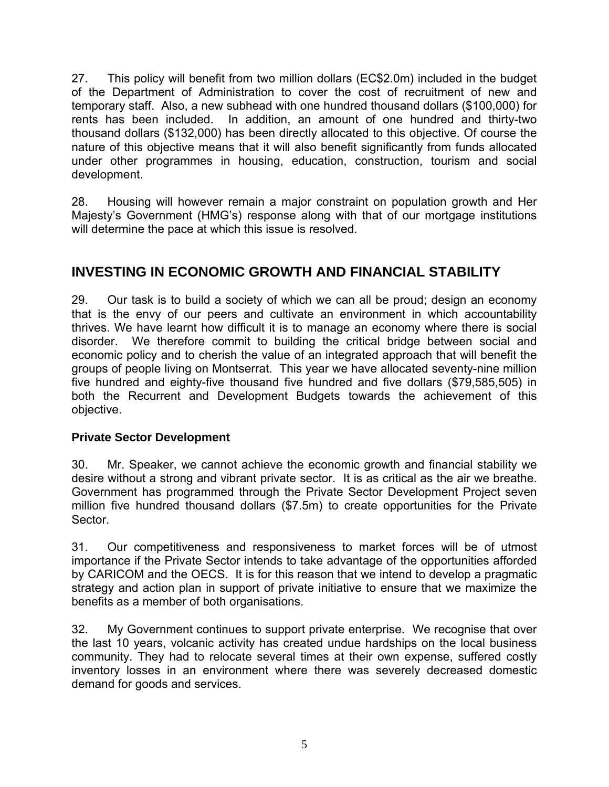27. This policy will benefit from two million dollars (EC\$2.0m) included in the budget of the Department of Administration to cover the cost of recruitment of new and temporary staff. Also, a new subhead with one hundred thousand dollars (\$100,000) for rents has been included. In addition, an amount of one hundred and thirty-two thousand dollars (\$132,000) has been directly allocated to this objective. Of course the nature of this objective means that it will also benefit significantly from funds allocated under other programmes in housing, education, construction, tourism and social development.

28. Housing will however remain a major constraint on population growth and Her Majesty's Government (HMG's) response along with that of our mortgage institutions will determine the pace at which this issue is resolved.

## **INVESTING IN ECONOMIC GROWTH AND FINANCIAL STABILITY**

29. Our task is to build a society of which we can all be proud; design an economy that is the envy of our peers and cultivate an environment in which accountability thrives. We have learnt how difficult it is to manage an economy where there is social disorder. We therefore commit to building the critical bridge between social and economic policy and to cherish the value of an integrated approach that will benefit the groups of people living on Montserrat. This year we have allocated seventy-nine million five hundred and eighty-five thousand five hundred and five dollars (\$79,585,505) in both the Recurrent and Development Budgets towards the achievement of this objective.

#### **Private Sector Development**

30. Mr. Speaker, we cannot achieve the economic growth and financial stability we desire without a strong and vibrant private sector. It is as critical as the air we breathe. Government has programmed through the Private Sector Development Project seven million five hundred thousand dollars (\$7.5m) to create opportunities for the Private Sector.

31. Our competitiveness and responsiveness to market forces will be of utmost importance if the Private Sector intends to take advantage of the opportunities afforded by CARICOM and the OECS. It is for this reason that we intend to develop a pragmatic strategy and action plan in support of private initiative to ensure that we maximize the benefits as a member of both organisations.

32. My Government continues to support private enterprise. We recognise that over the last 10 years, volcanic activity has created undue hardships on the local business community. They had to relocate several times at their own expense, suffered costly inventory losses in an environment where there was severely decreased domestic demand for goods and services.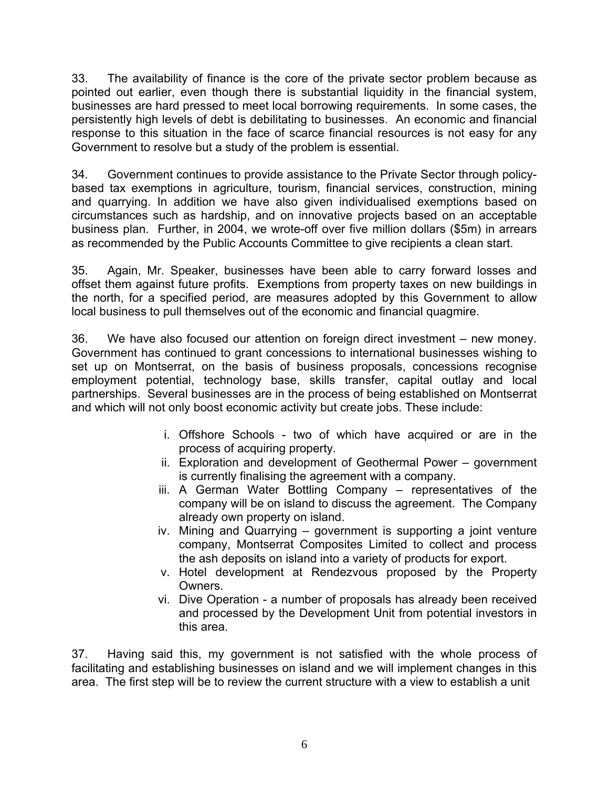33. The availability of finance is the core of the private sector problem because as pointed out earlier, even though there is substantial liquidity in the financial system, businesses are hard pressed to meet local borrowing requirements. In some cases, the persistently high levels of debt is debilitating to businesses. An economic and financial response to this situation in the face of scarce financial resources is not easy for any Government to resolve but a study of the problem is essential.

34. Government continues to provide assistance to the Private Sector through policybased tax exemptions in agriculture, tourism, financial services, construction, mining and quarrying. In addition we have also given individualised exemptions based on circumstances such as hardship, and on innovative projects based on an acceptable business plan. Further, in 2004, we wrote-off over five million dollars (\$5m) in arrears as recommended by the Public Accounts Committee to give recipients a clean start.

35. Again, Mr. Speaker, businesses have been able to carry forward losses and offset them against future profits. Exemptions from property taxes on new buildings in the north, for a specified period, are measures adopted by this Government to allow local business to pull themselves out of the economic and financial quagmire.

36. We have also focused our attention on foreign direct investment – new money. Government has continued to grant concessions to international businesses wishing to set up on Montserrat, on the basis of business proposals, concessions recognise employment potential, technology base, skills transfer, capital outlay and local partnerships. Several businesses are in the process of being established on Montserrat and which will not only boost economic activity but create jobs. These include:

- i. Offshore Schools two of which have acquired or are in the process of acquiring property.
- ii. Exploration and development of Geothermal Power government is currently finalising the agreement with a company.
- iii. A German Water Bottling Company representatives of the company will be on island to discuss the agreement. The Company already own property on island.
- iv. Mining and Quarrying government is supporting a joint venture company, Montserrat Composites Limited to collect and process the ash deposits on island into a variety of products for export.
- v. Hotel development at Rendezvous proposed by the Property Owners.
- vi. Dive Operation a number of proposals has already been received and processed by the Development Unit from potential investors in this area.

37. Having said this, my government is not satisfied with the whole process of facilitating and establishing businesses on island and we will implement changes in this area. The first step will be to review the current structure with a view to establish a unit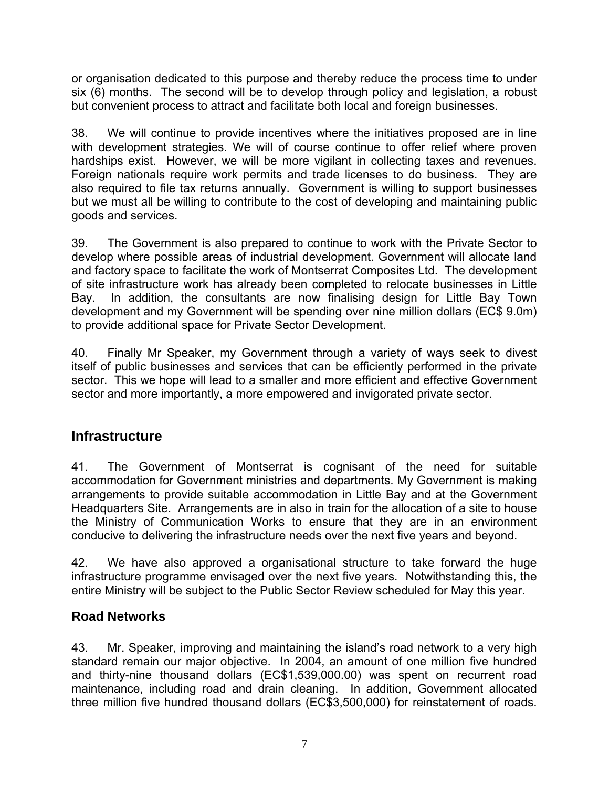or organisation dedicated to this purpose and thereby reduce the process time to under six (6) months. The second will be to develop through policy and legislation, a robust but convenient process to attract and facilitate both local and foreign businesses.

38. We will continue to provide incentives where the initiatives proposed are in line with development strategies. We will of course continue to offer relief where proven hardships exist. However, we will be more vigilant in collecting taxes and revenues. Foreign nationals require work permits and trade licenses to do business. They are also required to file tax returns annually. Government is willing to support businesses but we must all be willing to contribute to the cost of developing and maintaining public goods and services.

39. The Government is also prepared to continue to work with the Private Sector to develop where possible areas of industrial development. Government will allocate land and factory space to facilitate the work of Montserrat Composites Ltd. The development of site infrastructure work has already been completed to relocate businesses in Little Bay. In addition, the consultants are now finalising design for Little Bay Town development and my Government will be spending over nine million dollars (EC\$ 9.0m) to provide additional space for Private Sector Development.

40. Finally Mr Speaker, my Government through a variety of ways seek to divest itself of public businesses and services that can be efficiently performed in the private sector. This we hope will lead to a smaller and more efficient and effective Government sector and more importantly, a more empowered and invigorated private sector.

### **Infrastructure**

41. The Government of Montserrat is cognisant of the need for suitable accommodation for Government ministries and departments. My Government is making arrangements to provide suitable accommodation in Little Bay and at the Government Headquarters Site. Arrangements are in also in train for the allocation of a site to house the Ministry of Communication Works to ensure that they are in an environment conducive to delivering the infrastructure needs over the next five years and beyond.

42. We have also approved a organisational structure to take forward the huge infrastructure programme envisaged over the next five years. Notwithstanding this, the entire Ministry will be subject to the Public Sector Review scheduled for May this year.

### **Road Networks**

43. Mr. Speaker, improving and maintaining the island's road network to a very high standard remain our major objective. In 2004, an amount of one million five hundred and thirty-nine thousand dollars (EC\$1,539,000.00) was spent on recurrent road maintenance, including road and drain cleaning. In addition, Government allocated three million five hundred thousand dollars (EC\$3,500,000) for reinstatement of roads.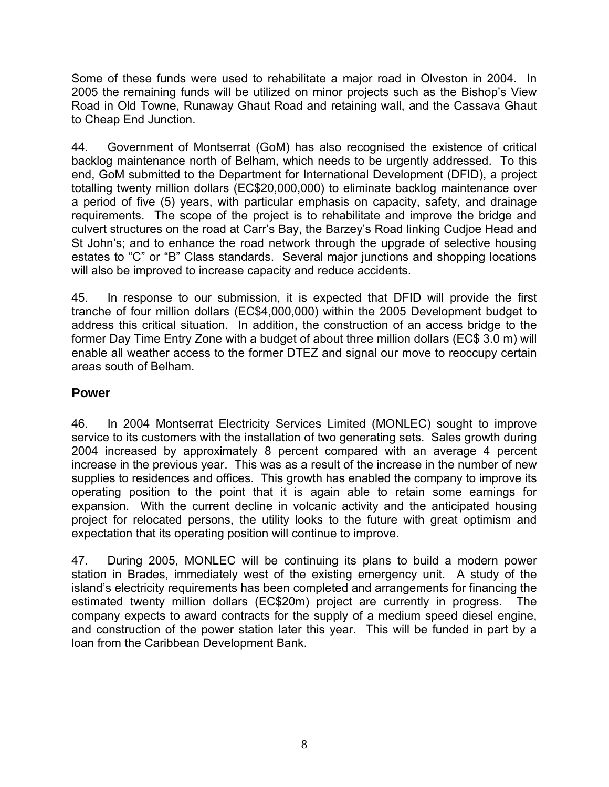Some of these funds were used to rehabilitate a major road in Olveston in 2004. In 2005 the remaining funds will be utilized on minor projects such as the Bishop's View Road in Old Towne, Runaway Ghaut Road and retaining wall, and the Cassava Ghaut to Cheap End Junction.

44. Government of Montserrat (GoM) has also recognised the existence of critical backlog maintenance north of Belham, which needs to be urgently addressed. To this end, GoM submitted to the Department for International Development (DFID), a project totalling twenty million dollars (EC\$20,000,000) to eliminate backlog maintenance over a period of five (5) years, with particular emphasis on capacity, safety, and drainage requirements. The scope of the project is to rehabilitate and improve the bridge and culvert structures on the road at Carr's Bay, the Barzey's Road linking Cudjoe Head and St John's; and to enhance the road network through the upgrade of selective housing estates to "C" or "B" Class standards. Several major junctions and shopping locations will also be improved to increase capacity and reduce accidents.

45. In response to our submission, it is expected that DFID will provide the first tranche of four million dollars (EC\$4,000,000) within the 2005 Development budget to address this critical situation. In addition, the construction of an access bridge to the former Day Time Entry Zone with a budget of about three million dollars (EC\$ 3.0 m) will enable all weather access to the former DTEZ and signal our move to reoccupy certain areas south of Belham.

#### **Power**

46. In 2004 Montserrat Electricity Services Limited (MONLEC) sought to improve service to its customers with the installation of two generating sets. Sales growth during 2004 increased by approximately 8 percent compared with an average 4 percent increase in the previous year. This was as a result of the increase in the number of new supplies to residences and offices. This growth has enabled the company to improve its operating position to the point that it is again able to retain some earnings for expansion. With the current decline in volcanic activity and the anticipated housing project for relocated persons, the utility looks to the future with great optimism and expectation that its operating position will continue to improve.

47. During 2005, MONLEC will be continuing its plans to build a modern power station in Brades, immediately west of the existing emergency unit. A study of the island's electricity requirements has been completed and arrangements for financing the estimated twenty million dollars (EC\$20m) project are currently in progress. The company expects to award contracts for the supply of a medium speed diesel engine, and construction of the power station later this year. This will be funded in part by a loan from the Caribbean Development Bank.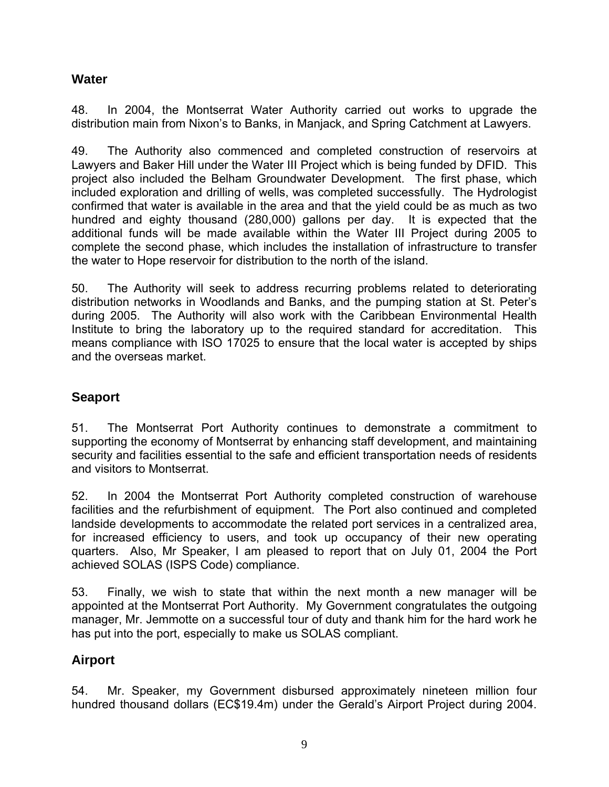#### **Water**

48. In 2004, the Montserrat Water Authority carried out works to upgrade the distribution main from Nixon's to Banks, in Manjack, and Spring Catchment at Lawyers.

49. The Authority also commenced and completed construction of reservoirs at Lawyers and Baker Hill under the Water III Project which is being funded by DFID. This project also included the Belham Groundwater Development. The first phase, which included exploration and drilling of wells, was completed successfully. The Hydrologist confirmed that water is available in the area and that the yield could be as much as two hundred and eighty thousand (280,000) gallons per day. It is expected that the additional funds will be made available within the Water III Project during 2005 to complete the second phase, which includes the installation of infrastructure to transfer the water to Hope reservoir for distribution to the north of the island.

50. The Authority will seek to address recurring problems related to deteriorating distribution networks in Woodlands and Banks, and the pumping station at St. Peter's during 2005. The Authority will also work with the Caribbean Environmental Health Institute to bring the laboratory up to the required standard for accreditation. This means compliance with ISO 17025 to ensure that the local water is accepted by ships and the overseas market.

### **Seaport**

51. The Montserrat Port Authority continues to demonstrate a commitment to supporting the economy of Montserrat by enhancing staff development, and maintaining security and facilities essential to the safe and efficient transportation needs of residents and visitors to Montserrat.

52. In 2004 the Montserrat Port Authority completed construction of warehouse facilities and the refurbishment of equipment. The Port also continued and completed landside developments to accommodate the related port services in a centralized area, for increased efficiency to users, and took up occupancy of their new operating quarters. Also, Mr Speaker, I am pleased to report that on July 01, 2004 the Port achieved SOLAS (ISPS Code) compliance.

53. Finally, we wish to state that within the next month a new manager will be appointed at the Montserrat Port Authority. My Government congratulates the outgoing manager, Mr. Jemmotte on a successful tour of duty and thank him for the hard work he has put into the port, especially to make us SOLAS compliant.

#### **Airport**

54. Mr. Speaker, my Government disbursed approximately nineteen million four hundred thousand dollars (EC\$19.4m) under the Gerald's Airport Project during 2004.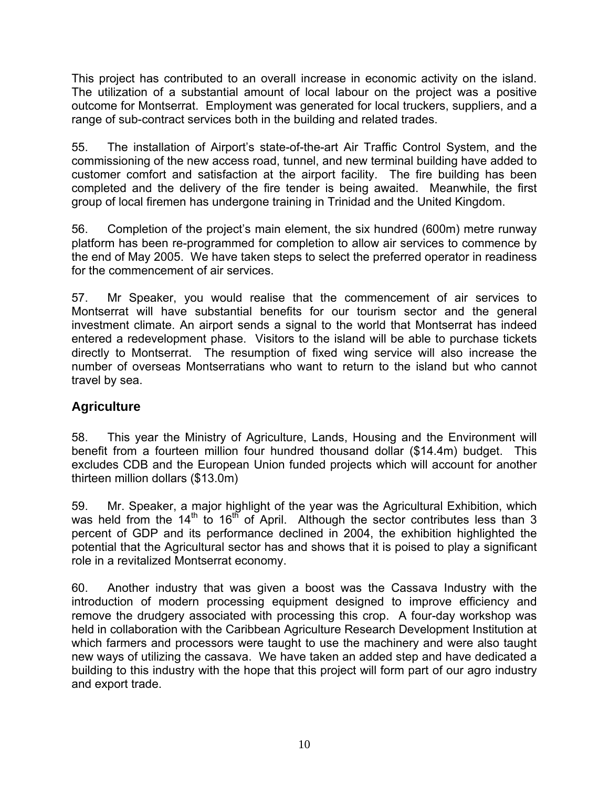This project has contributed to an overall increase in economic activity on the island. The utilization of a substantial amount of local labour on the project was a positive outcome for Montserrat. Employment was generated for local truckers, suppliers, and a range of sub-contract services both in the building and related trades.

55. The installation of Airport's state-of-the-art Air Traffic Control System, and the commissioning of the new access road, tunnel, and new terminal building have added to customer comfort and satisfaction at the airport facility. The fire building has been completed and the delivery of the fire tender is being awaited. Meanwhile, the first group of local firemen has undergone training in Trinidad and the United Kingdom.

56. Completion of the project's main element, the six hundred (600m) metre runway platform has been re-programmed for completion to allow air services to commence by the end of May 2005. We have taken steps to select the preferred operator in readiness for the commencement of air services.

57. Mr Speaker, you would realise that the commencement of air services to Montserrat will have substantial benefits for our tourism sector and the general investment climate. An airport sends a signal to the world that Montserrat has indeed entered a redevelopment phase. Visitors to the island will be able to purchase tickets directly to Montserrat. The resumption of fixed wing service will also increase the number of overseas Montserratians who want to return to the island but who cannot travel by sea.

### **Agriculture**

58. This year the Ministry of Agriculture, Lands, Housing and the Environment will benefit from a fourteen million four hundred thousand dollar (\$14.4m) budget. This excludes CDB and the European Union funded projects which will account for another thirteen million dollars (\$13.0m)

59. Mr. Speaker, a major highlight of the year was the Agricultural Exhibition, which was held from the  $14<sup>th</sup>$  to  $16<sup>th</sup>$  of April. Although the sector contributes less than 3 percent of GDP and its performance declined in 2004, the exhibition highlighted the potential that the Agricultural sector has and shows that it is poised to play a significant role in a revitalized Montserrat economy.

60. Another industry that was given a boost was the Cassava Industry with the introduction of modern processing equipment designed to improve efficiency and remove the drudgery associated with processing this crop. A four-day workshop was held in collaboration with the Caribbean Agriculture Research Development Institution at which farmers and processors were taught to use the machinery and were also taught new ways of utilizing the cassava. We have taken an added step and have dedicated a building to this industry with the hope that this project will form part of our agro industry and export trade.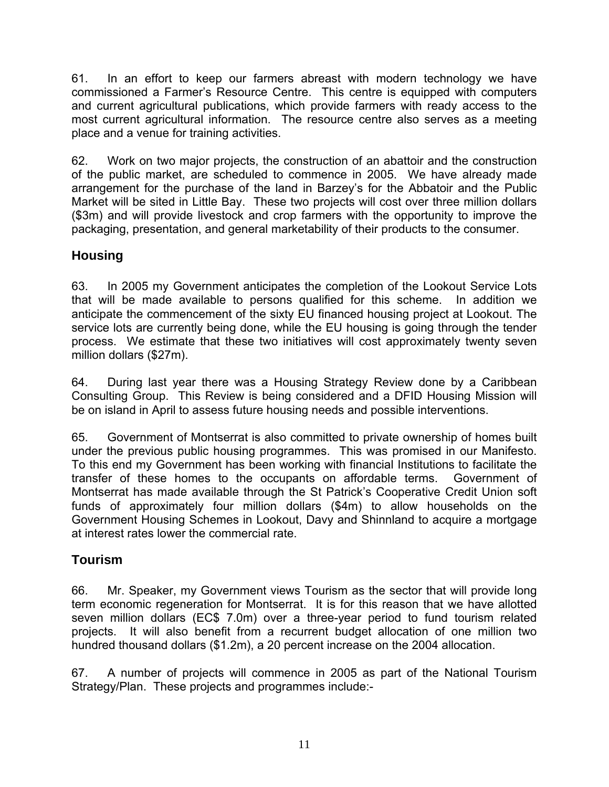61. In an effort to keep our farmers abreast with modern technology we have commissioned a Farmer's Resource Centre. This centre is equipped with computers and current agricultural publications, which provide farmers with ready access to the most current agricultural information. The resource centre also serves as a meeting place and a venue for training activities.

62. Work on two major projects, the construction of an abattoir and the construction of the public market, are scheduled to commence in 2005. We have already made arrangement for the purchase of the land in Barzey's for the Abbatoir and the Public Market will be sited in Little Bay. These two projects will cost over three million dollars (\$3m) and will provide livestock and crop farmers with the opportunity to improve the packaging, presentation, and general marketability of their products to the consumer.

### **Housing**

63. In 2005 my Government anticipates the completion of the Lookout Service Lots that will be made available to persons qualified for this scheme. In addition we anticipate the commencement of the sixty EU financed housing project at Lookout. The service lots are currently being done, while the EU housing is going through the tender process. We estimate that these two initiatives will cost approximately twenty seven million dollars (\$27m).

64. During last year there was a Housing Strategy Review done by a Caribbean Consulting Group. This Review is being considered and a DFID Housing Mission will be on island in April to assess future housing needs and possible interventions.

65. Government of Montserrat is also committed to private ownership of homes built under the previous public housing programmes. This was promised in our Manifesto. To this end my Government has been working with financial Institutions to facilitate the transfer of these homes to the occupants on affordable terms. Government of Montserrat has made available through the St Patrick's Cooperative Credit Union soft funds of approximately four million dollars (\$4m) to allow households on the Government Housing Schemes in Lookout, Davy and Shinnland to acquire a mortgage at interest rates lower the commercial rate.

### **Tourism**

66. Mr. Speaker, my Government views Tourism as the sector that will provide long term economic regeneration for Montserrat. It is for this reason that we have allotted seven million dollars (EC\$ 7.0m) over a three-year period to fund tourism related projects. It will also benefit from a recurrent budget allocation of one million two hundred thousand dollars (\$1.2m), a 20 percent increase on the 2004 allocation.

67. A number of projects will commence in 2005 as part of the National Tourism Strategy/Plan. These projects and programmes include:-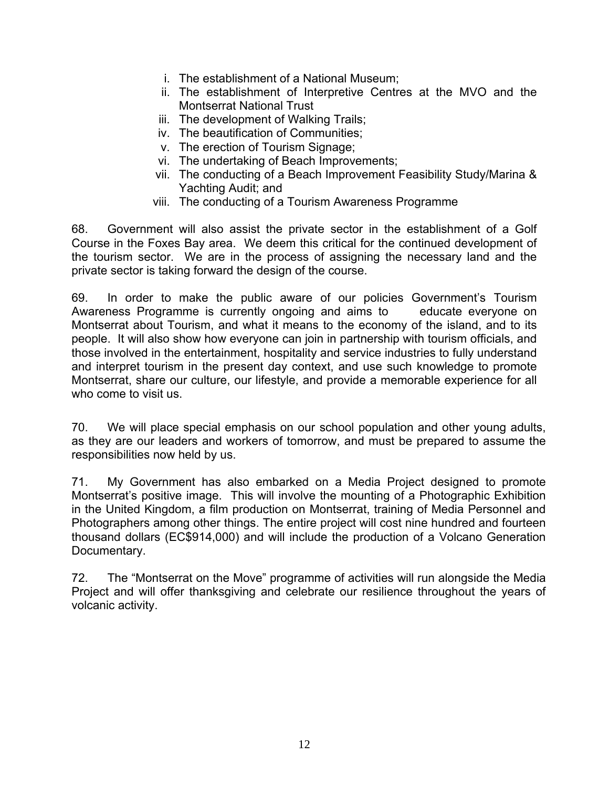- i. The establishment of a National Museum;
- ii. The establishment of Interpretive Centres at the MVO and the Montserrat National Trust
- iii. The development of Walking Trails;
- iv. The beautification of Communities;
- v. The erection of Tourism Signage;
- vi. The undertaking of Beach Improvements;
- vii. The conducting of a Beach Improvement Feasibility Study/Marina & Yachting Audit; and
- viii. The conducting of a Tourism Awareness Programme

68. Government will also assist the private sector in the establishment of a Golf Course in the Foxes Bay area. We deem this critical for the continued development of the tourism sector. We are in the process of assigning the necessary land and the private sector is taking forward the design of the course.

69. In order to make the public aware of our policies Government's Tourism Awareness Programme is currently ongoing and aims to educate everyone on Montserrat about Tourism, and what it means to the economy of the island, and to its people. It will also show how everyone can join in partnership with tourism officials, and those involved in the entertainment, hospitality and service industries to fully understand and interpret tourism in the present day context, and use such knowledge to promote Montserrat, share our culture, our lifestyle, and provide a memorable experience for all who come to visit us.

70. We will place special emphasis on our school population and other young adults, as they are our leaders and workers of tomorrow, and must be prepared to assume the responsibilities now held by us.

71. My Government has also embarked on a Media Project designed to promote Montserrat's positive image. This will involve the mounting of a Photographic Exhibition in the United Kingdom, a film production on Montserrat, training of Media Personnel and Photographers among other things. The entire project will cost nine hundred and fourteen thousand dollars (EC\$914,000) and will include the production of a Volcano Generation Documentary.

72. The "Montserrat on the Move" programme of activities will run alongside the Media Project and will offer thanksgiving and celebrate our resilience throughout the years of volcanic activity.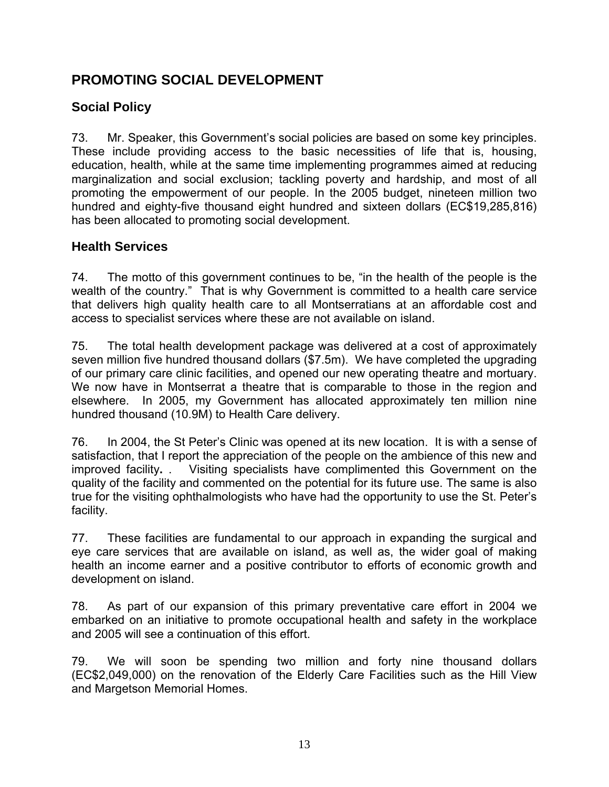# **PROMOTING SOCIAL DEVELOPMENT**

### **Social Policy**

73. Mr. Speaker, this Government's social policies are based on some key principles. These include providing access to the basic necessities of life that is, housing, education, health, while at the same time implementing programmes aimed at reducing marginalization and social exclusion; tackling poverty and hardship, and most of all promoting the empowerment of our people. In the 2005 budget, nineteen million two hundred and eighty-five thousand eight hundred and sixteen dollars (EC\$19,285,816) has been allocated to promoting social development.

#### **Health Services**

74. The motto of this government continues to be, "in the health of the people is the wealth of the country." That is why Government is committed to a health care service that delivers high quality health care to all Montserratians at an affordable cost and access to specialist services where these are not available on island.

75. The total health development package was delivered at a cost of approximately seven million five hundred thousand dollars (\$7.5m). We have completed the upgrading of our primary care clinic facilities, and opened our new operating theatre and mortuary. We now have in Montserrat a theatre that is comparable to those in the region and elsewhere. In 2005, my Government has allocated approximately ten million nine hundred thousand (10.9M) to Health Care delivery.

76. In 2004, the St Peter's Clinic was opened at its new location. It is with a sense of satisfaction, that I report the appreciation of the people on the ambience of this new and improved facility**.** . Visiting specialists have complimented this Government on the quality of the facility and commented on the potential for its future use. The same is also true for the visiting ophthalmologists who have had the opportunity to use the St. Peter's facility.

77. These facilities are fundamental to our approach in expanding the surgical and eye care services that are available on island, as well as, the wider goal of making health an income earner and a positive contributor to efforts of economic growth and development on island.

78. As part of our expansion of this primary preventative care effort in 2004 we embarked on an initiative to promote occupational health and safety in the workplace and 2005 will see a continuation of this effort.

79. We will soon be spending two million and forty nine thousand dollars (EC\$2,049,000) on the renovation of the Elderly Care Facilities such as the Hill View and Margetson Memorial Homes.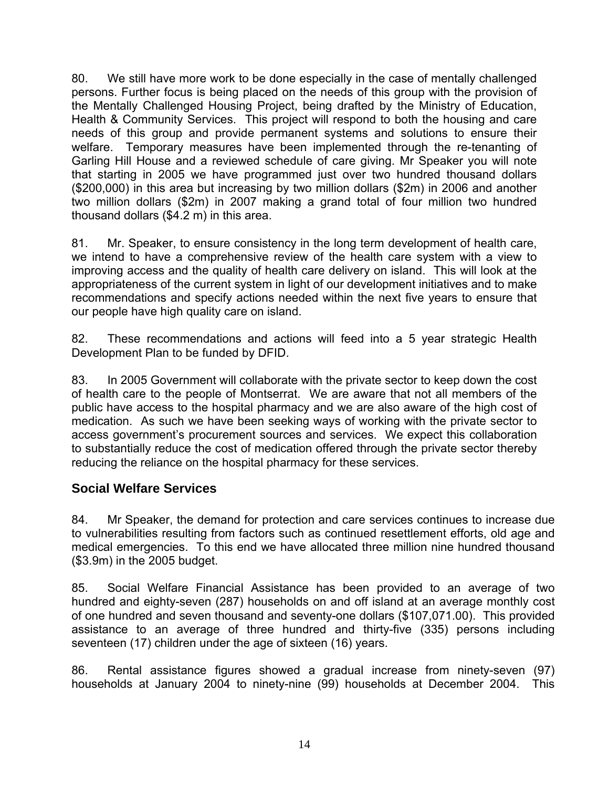80. We still have more work to be done especially in the case of mentally challenged persons. Further focus is being placed on the needs of this group with the provision of the Mentally Challenged Housing Project, being drafted by the Ministry of Education, Health & Community Services. This project will respond to both the housing and care needs of this group and provide permanent systems and solutions to ensure their welfare. Temporary measures have been implemented through the re-tenanting of Garling Hill House and a reviewed schedule of care giving. Mr Speaker you will note that starting in 2005 we have programmed just over two hundred thousand dollars (\$200,000) in this area but increasing by two million dollars (\$2m) in 2006 and another two million dollars (\$2m) in 2007 making a grand total of four million two hundred thousand dollars (\$4.2 m) in this area.

81. Mr. Speaker, to ensure consistency in the long term development of health care, we intend to have a comprehensive review of the health care system with a view to improving access and the quality of health care delivery on island. This will look at the appropriateness of the current system in light of our development initiatives and to make recommendations and specify actions needed within the next five years to ensure that our people have high quality care on island.

82. These recommendations and actions will feed into a 5 year strategic Health Development Plan to be funded by DFID.

83. In 2005 Government will collaborate with the private sector to keep down the cost of health care to the people of Montserrat. We are aware that not all members of the public have access to the hospital pharmacy and we are also aware of the high cost of medication. As such we have been seeking ways of working with the private sector to access government's procurement sources and services. We expect this collaboration to substantially reduce the cost of medication offered through the private sector thereby reducing the reliance on the hospital pharmacy for these services.

#### **Social Welfare Services**

84. Mr Speaker, the demand for protection and care services continues to increase due to vulnerabilities resulting from factors such as continued resettlement efforts, old age and medical emergencies. To this end we have allocated three million nine hundred thousand (\$3.9m) in the 2005 budget.

85. Social Welfare Financial Assistance has been provided to an average of two hundred and eighty-seven (287) households on and off island at an average monthly cost of one hundred and seven thousand and seventy-one dollars (\$107,071.00). This provided assistance to an average of three hundred and thirty-five (335) persons including seventeen (17) children under the age of sixteen (16) years.

86. Rental assistance figures showed a gradual increase from ninety-seven (97) households at January 2004 to ninety-nine (99) households at December 2004. This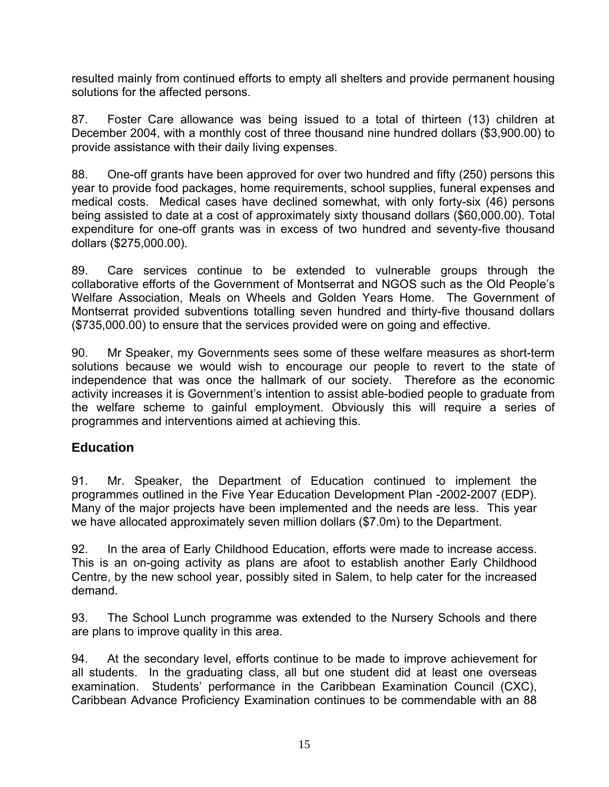resulted mainly from continued efforts to empty all shelters and provide permanent housing solutions for the affected persons.

87. Foster Care allowance was being issued to a total of thirteen (13) children at December 2004, with a monthly cost of three thousand nine hundred dollars (\$3,900.00) to provide assistance with their daily living expenses.

88. One-off grants have been approved for over two hundred and fifty (250) persons this year to provide food packages, home requirements, school supplies, funeral expenses and medical costs. Medical cases have declined somewhat, with only forty-six (46) persons being assisted to date at a cost of approximately sixty thousand dollars (\$60,000.00). Total expenditure for one-off grants was in excess of two hundred and seventy-five thousand dollars (\$275,000.00).

89. Care services continue to be extended to vulnerable groups through the collaborative efforts of the Government of Montserrat and NGOS such as the Old People's Welfare Association, Meals on Wheels and Golden Years Home. The Government of Montserrat provided subventions totalling seven hundred and thirty-five thousand dollars (\$735,000.00) to ensure that the services provided were on going and effective.

90. Mr Speaker, my Governments sees some of these welfare measures as short-term solutions because we would wish to encourage our people to revert to the state of independence that was once the hallmark of our society. Therefore as the economic activity increases it is Government's intention to assist able-bodied people to graduate from the welfare scheme to gainful employment. Obviously this will require a series of programmes and interventions aimed at achieving this.

#### **Education**

91. Mr. Speaker, the Department of Education continued to implement the programmes outlined in the Five Year Education Development Plan -2002-2007 (EDP). Many of the major projects have been implemented and the needs are less. This year we have allocated approximately seven million dollars (\$7.0m) to the Department.

92. In the area of Early Childhood Education, efforts were made to increase access. This is an on-going activity as plans are afoot to establish another Early Childhood Centre, by the new school year, possibly sited in Salem, to help cater for the increased demand.

93. The School Lunch programme was extended to the Nursery Schools and there are plans to improve quality in this area.

94. At the secondary level, efforts continue to be made to improve achievement for all students. In the graduating class, all but one student did at least one overseas examination. Students' performance in the Caribbean Examination Council (CXC), Caribbean Advance Proficiency Examination continues to be commendable with an 88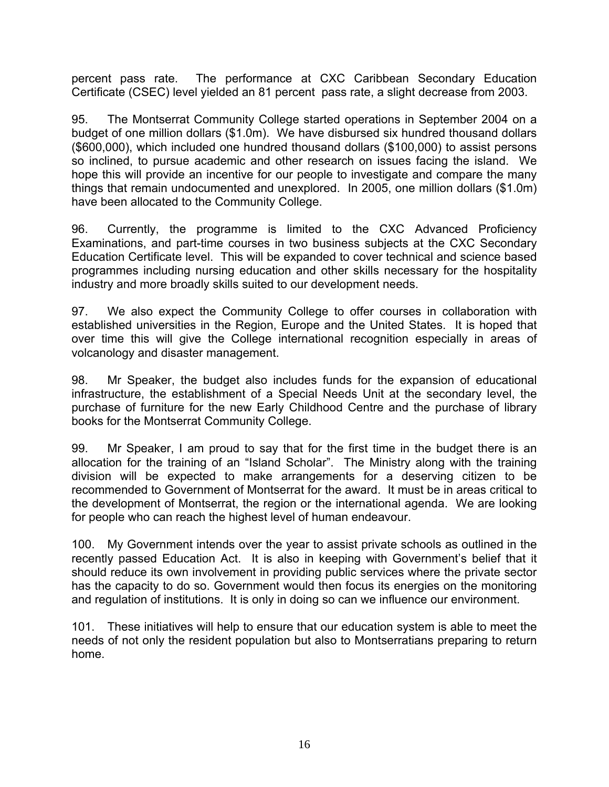percent pass rate. The performance at CXC Caribbean Secondary Education Certificate (CSEC) level yielded an 81 percent pass rate, a slight decrease from 2003.

95. The Montserrat Community College started operations in September 2004 on a budget of one million dollars (\$1.0m). We have disbursed six hundred thousand dollars (\$600,000), which included one hundred thousand dollars (\$100,000) to assist persons so inclined, to pursue academic and other research on issues facing the island. We hope this will provide an incentive for our people to investigate and compare the many things that remain undocumented and unexplored. In 2005, one million dollars (\$1.0m) have been allocated to the Community College.

96. Currently, the programme is limited to the CXC Advanced Proficiency Examinations, and part-time courses in two business subjects at the CXC Secondary Education Certificate level. This will be expanded to cover technical and science based programmes including nursing education and other skills necessary for the hospitality industry and more broadly skills suited to our development needs.

97. We also expect the Community College to offer courses in collaboration with established universities in the Region, Europe and the United States. It is hoped that over time this will give the College international recognition especially in areas of volcanology and disaster management.

98. Mr Speaker, the budget also includes funds for the expansion of educational infrastructure, the establishment of a Special Needs Unit at the secondary level, the purchase of furniture for the new Early Childhood Centre and the purchase of library books for the Montserrat Community College.

99. Mr Speaker, I am proud to say that for the first time in the budget there is an allocation for the training of an "Island Scholar". The Ministry along with the training division will be expected to make arrangements for a deserving citizen to be recommended to Government of Montserrat for the award. It must be in areas critical to the development of Montserrat, the region or the international agenda. We are looking for people who can reach the highest level of human endeavour.

100. My Government intends over the year to assist private schools as outlined in the recently passed Education Act. It is also in keeping with Government's belief that it should reduce its own involvement in providing public services where the private sector has the capacity to do so. Government would then focus its energies on the monitoring and regulation of institutions. It is only in doing so can we influence our environment.

101. These initiatives will help to ensure that our education system is able to meet the needs of not only the resident population but also to Montserratians preparing to return home.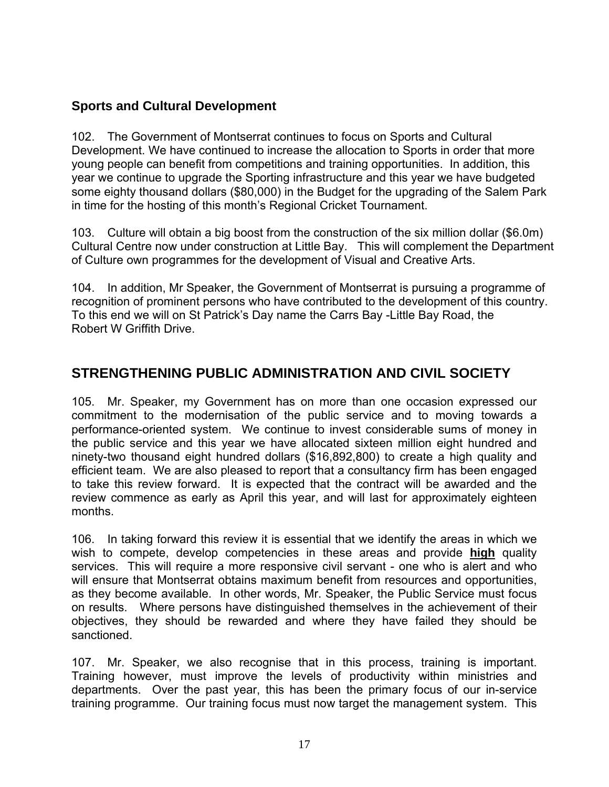#### **Sports and Cultural Development**

102. The Government of Montserrat continues to focus on Sports and Cultural Development. We have continued to increase the allocation to Sports in order that more young people can benefit from competitions and training opportunities. In addition, this year we continue to upgrade the Sporting infrastructure and this year we have budgeted some eighty thousand dollars (\$80,000) in the Budget for the upgrading of the Salem Park in time for the hosting of this month's Regional Cricket Tournament.

103. Culture will obtain a big boost from the construction of the six million dollar (\$6.0m) Cultural Centre now under construction at Little Bay. This will complement the Department of Culture own programmes for the development of Visual and Creative Arts.

104. In addition, Mr Speaker, the Government of Montserrat is pursuing a programme of recognition of prominent persons who have contributed to the development of this country. To this end we will on St Patrick's Day name the Carrs Bay -Little Bay Road, the Robert W Griffith Drive.

## **STRENGTHENING PUBLIC ADMINISTRATION AND CIVIL SOCIETY**

105. Mr. Speaker, my Government has on more than one occasion expressed our commitment to the modernisation of the public service and to moving towards a performance-oriented system. We continue to invest considerable sums of money in the public service and this year we have allocated sixteen million eight hundred and ninety-two thousand eight hundred dollars (\$16,892,800) to create a high quality and efficient team. We are also pleased to report that a consultancy firm has been engaged to take this review forward. It is expected that the contract will be awarded and the review commence as early as April this year, and will last for approximately eighteen months.

106. In taking forward this review it is essential that we identify the areas in which we wish to compete, develop competencies in these areas and provide **high** quality services. This will require a more responsive civil servant - one who is alert and who will ensure that Montserrat obtains maximum benefit from resources and opportunities, as they become available. In other words, Mr. Speaker, the Public Service must focus on results. Where persons have distinguished themselves in the achievement of their objectives, they should be rewarded and where they have failed they should be sanctioned.

107. Mr. Speaker, we also recognise that in this process, training is important. Training however, must improve the levels of productivity within ministries and departments. Over the past year, this has been the primary focus of our in-service training programme. Our training focus must now target the management system. This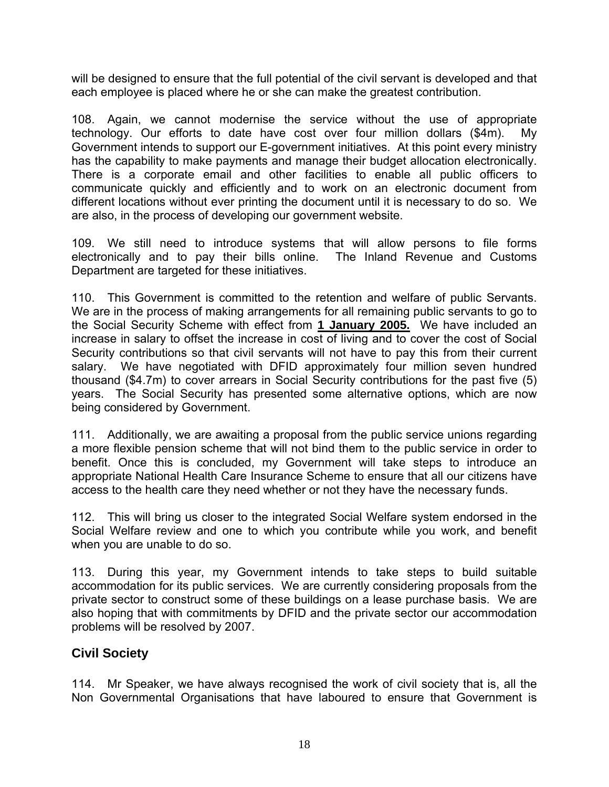will be designed to ensure that the full potential of the civil servant is developed and that each employee is placed where he or she can make the greatest contribution.

108. Again, we cannot modernise the service without the use of appropriate technology. Our efforts to date have cost over four million dollars (\$4m). My Government intends to support our E-government initiatives. At this point every ministry has the capability to make payments and manage their budget allocation electronically. There is a corporate email and other facilities to enable all public officers to communicate quickly and efficiently and to work on an electronic document from different locations without ever printing the document until it is necessary to do so. We are also, in the process of developing our government website.

109. We still need to introduce systems that will allow persons to file forms electronically and to pay their bills online. The Inland Revenue and Customs Department are targeted for these initiatives.

110. This Government is committed to the retention and welfare of public Servants. We are in the process of making arrangements for all remaining public servants to go to the Social Security Scheme with effect from **1 January 2005.** We have included an increase in salary to offset the increase in cost of living and to cover the cost of Social Security contributions so that civil servants will not have to pay this from their current salary. We have negotiated with DFID approximately four million seven hundred thousand (\$4.7m) to cover arrears in Social Security contributions for the past five (5) years. The Social Security has presented some alternative options, which are now being considered by Government.

111. Additionally, we are awaiting a proposal from the public service unions regarding a more flexible pension scheme that will not bind them to the public service in order to benefit. Once this is concluded, my Government will take steps to introduce an appropriate National Health Care Insurance Scheme to ensure that all our citizens have access to the health care they need whether or not they have the necessary funds.

112. This will bring us closer to the integrated Social Welfare system endorsed in the Social Welfare review and one to which you contribute while you work, and benefit when you are unable to do so.

113. During this year, my Government intends to take steps to build suitable accommodation for its public services. We are currently considering proposals from the private sector to construct some of these buildings on a lease purchase basis. We are also hoping that with commitments by DFID and the private sector our accommodation problems will be resolved by 2007.

#### **Civil Society**

114. Mr Speaker, we have always recognised the work of civil society that is, all the Non Governmental Organisations that have laboured to ensure that Government is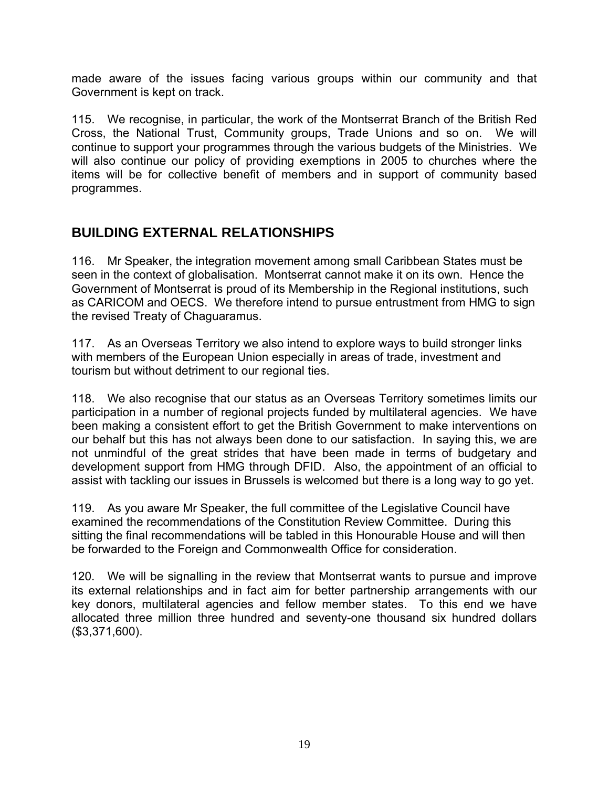made aware of the issues facing various groups within our community and that Government is kept on track.

115. We recognise, in particular, the work of the Montserrat Branch of the British Red Cross, the National Trust, Community groups, Trade Unions and so on. We will continue to support your programmes through the various budgets of the Ministries. We will also continue our policy of providing exemptions in 2005 to churches where the items will be for collective benefit of members and in support of community based programmes.

# **BUILDING EXTERNAL RELATIONSHIPS**

116. Mr Speaker, the integration movement among small Caribbean States must be seen in the context of globalisation. Montserrat cannot make it on its own. Hence the Government of Montserrat is proud of its Membership in the Regional institutions, such as CARICOM and OECS. We therefore intend to pursue entrustment from HMG to sign the revised Treaty of Chaguaramus.

117. As an Overseas Territory we also intend to explore ways to build stronger links with members of the European Union especially in areas of trade, investment and tourism but without detriment to our regional ties.

118. We also recognise that our status as an Overseas Territory sometimes limits our participation in a number of regional projects funded by multilateral agencies. We have been making a consistent effort to get the British Government to make interventions on our behalf but this has not always been done to our satisfaction. In saying this, we are not unmindful of the great strides that have been made in terms of budgetary and development support from HMG through DFID. Also, the appointment of an official to assist with tackling our issues in Brussels is welcomed but there is a long way to go yet.

119. As you aware Mr Speaker, the full committee of the Legislative Council have examined the recommendations of the Constitution Review Committee. During this sitting the final recommendations will be tabled in this Honourable House and will then be forwarded to the Foreign and Commonwealth Office for consideration.

120. We will be signalling in the review that Montserrat wants to pursue and improve its external relationships and in fact aim for better partnership arrangements with our key donors, multilateral agencies and fellow member states. To this end we have allocated three million three hundred and seventy-one thousand six hundred dollars (\$3,371,600).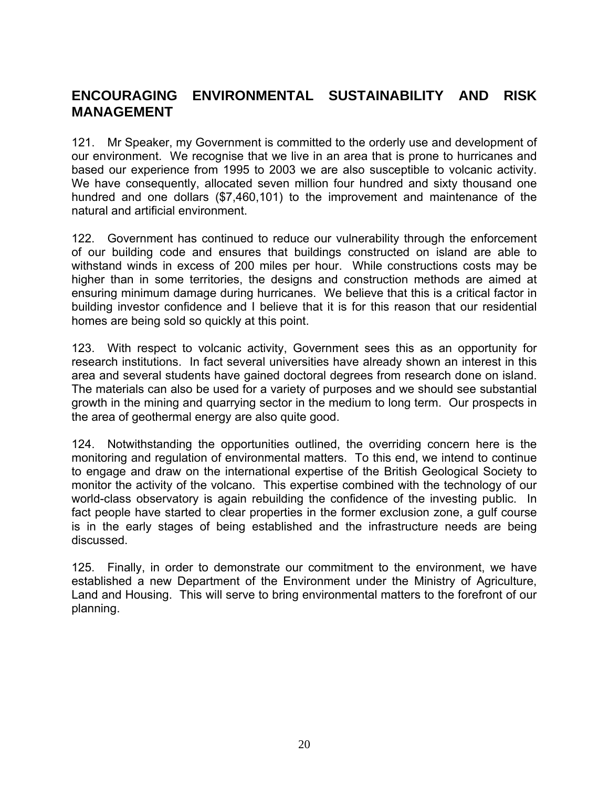## **ENCOURAGING ENVIRONMENTAL SUSTAINABILITY AND RISK MANAGEMENT**

121. Mr Speaker, my Government is committed to the orderly use and development of our environment. We recognise that we live in an area that is prone to hurricanes and based our experience from 1995 to 2003 we are also susceptible to volcanic activity. We have consequently, allocated seven million four hundred and sixty thousand one hundred and one dollars (\$7,460,101) to the improvement and maintenance of the natural and artificial environment.

122. Government has continued to reduce our vulnerability through the enforcement of our building code and ensures that buildings constructed on island are able to withstand winds in excess of 200 miles per hour. While constructions costs may be higher than in some territories, the designs and construction methods are aimed at ensuring minimum damage during hurricanes. We believe that this is a critical factor in building investor confidence and I believe that it is for this reason that our residential homes are being sold so quickly at this point.

123. With respect to volcanic activity, Government sees this as an opportunity for research institutions. In fact several universities have already shown an interest in this area and several students have gained doctoral degrees from research done on island. The materials can also be used for a variety of purposes and we should see substantial growth in the mining and quarrying sector in the medium to long term. Our prospects in the area of geothermal energy are also quite good.

124. Notwithstanding the opportunities outlined, the overriding concern here is the monitoring and regulation of environmental matters. To this end, we intend to continue to engage and draw on the international expertise of the British Geological Society to monitor the activity of the volcano. This expertise combined with the technology of our world-class observatory is again rebuilding the confidence of the investing public. In fact people have started to clear properties in the former exclusion zone, a gulf course is in the early stages of being established and the infrastructure needs are being discussed.

125. Finally, in order to demonstrate our commitment to the environment, we have established a new Department of the Environment under the Ministry of Agriculture, Land and Housing. This will serve to bring environmental matters to the forefront of our planning.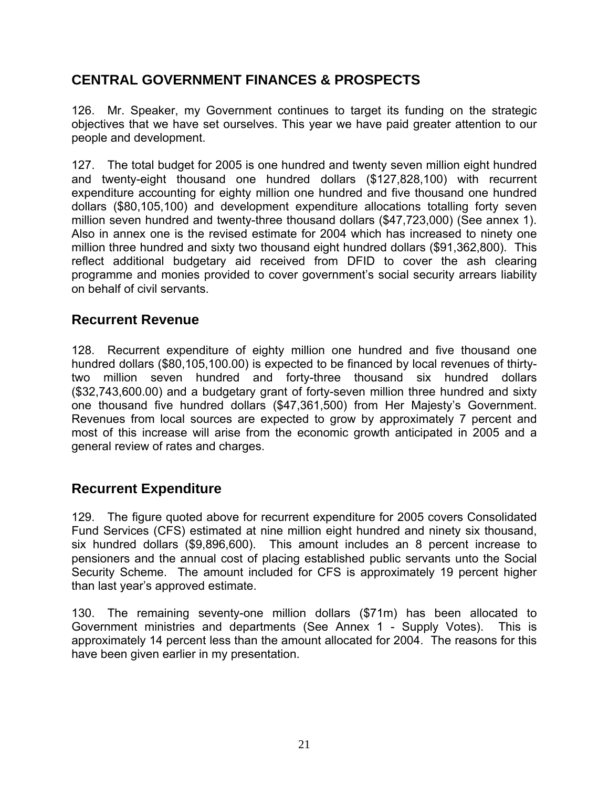## **CENTRAL GOVERNMENT FINANCES & PROSPECTS**

126. Mr. Speaker, my Government continues to target its funding on the strategic objectives that we have set ourselves. This year we have paid greater attention to our people and development.

127. The total budget for 2005 is one hundred and twenty seven million eight hundred and twenty-eight thousand one hundred dollars (\$127,828,100) with recurrent expenditure accounting for eighty million one hundred and five thousand one hundred dollars (\$80,105,100) and development expenditure allocations totalling forty seven million seven hundred and twenty-three thousand dollars (\$47,723,000) (See annex 1). Also in annex one is the revised estimate for 2004 which has increased to ninety one million three hundred and sixty two thousand eight hundred dollars (\$91,362,800). This reflect additional budgetary aid received from DFID to cover the ash clearing programme and monies provided to cover government's social security arrears liability on behalf of civil servants.

### **Recurrent Revenue**

128. Recurrent expenditure of eighty million one hundred and five thousand one hundred dollars (\$80,105,100.00) is expected to be financed by local revenues of thirtytwo million seven hundred and forty-three thousand six hundred dollars (\$32,743,600.00) and a budgetary grant of forty-seven million three hundred and sixty one thousand five hundred dollars (\$47,361,500) from Her Majesty's Government. Revenues from local sources are expected to grow by approximately 7 percent and most of this increase will arise from the economic growth anticipated in 2005 and a general review of rates and charges.

### **Recurrent Expenditure**

129. The figure quoted above for recurrent expenditure for 2005 covers Consolidated Fund Services (CFS) estimated at nine million eight hundred and ninety six thousand, six hundred dollars (\$9,896,600). This amount includes an 8 percent increase to pensioners and the annual cost of placing established public servants unto the Social Security Scheme. The amount included for CFS is approximately 19 percent higher than last year's approved estimate.

130. The remaining seventy-one million dollars (\$71m) has been allocated to Government ministries and departments (See Annex 1 - Supply Votes). This is approximately 14 percent less than the amount allocated for 2004. The reasons for this have been given earlier in my presentation.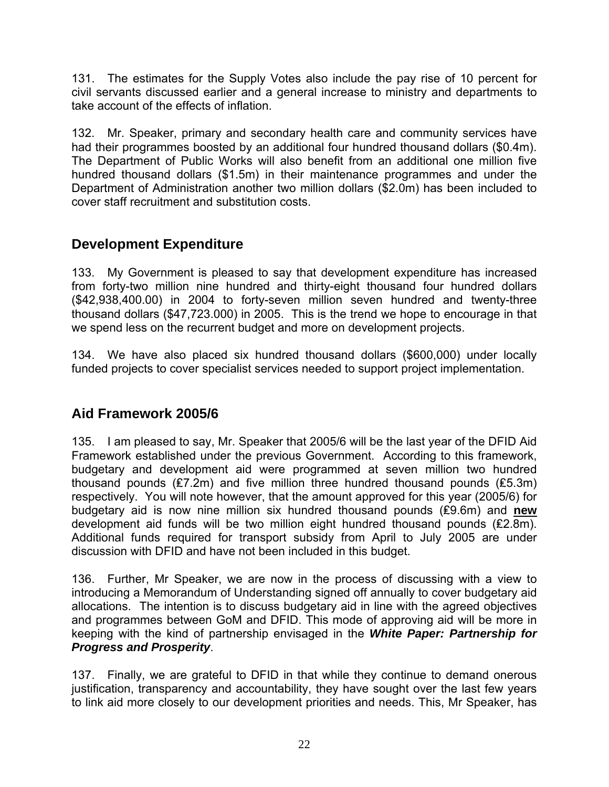131. The estimates for the Supply Votes also include the pay rise of 10 percent for civil servants discussed earlier and a general increase to ministry and departments to take account of the effects of inflation.

132. Mr. Speaker, primary and secondary health care and community services have had their programmes boosted by an additional four hundred thousand dollars (\$0.4m). The Department of Public Works will also benefit from an additional one million five hundred thousand dollars (\$1.5m) in their maintenance programmes and under the Department of Administration another two million dollars (\$2.0m) has been included to cover staff recruitment and substitution costs.

## **Development Expenditure**

133. My Government is pleased to say that development expenditure has increased from forty-two million nine hundred and thirty-eight thousand four hundred dollars (\$42,938,400.00) in 2004 to forty-seven million seven hundred and twenty-three thousand dollars (\$47,723.000) in 2005. This is the trend we hope to encourage in that we spend less on the recurrent budget and more on development projects.

134. We have also placed six hundred thousand dollars (\$600,000) under locally funded projects to cover specialist services needed to support project implementation.

## **Aid Framework 2005/6**

135. I am pleased to say, Mr. Speaker that 2005/6 will be the last year of the DFID Aid Framework established under the previous Government. According to this framework, budgetary and development aid were programmed at seven million two hundred thousand pounds (₤7.2m) and five million three hundred thousand pounds (₤5.3m) respectively. You will note however, that the amount approved for this year (2005/6) for budgetary aid is now nine million six hundred thousand pounds (₤9.6m) and **new** development aid funds will be two million eight hundred thousand pounds (₤2.8m). Additional funds required for transport subsidy from April to July 2005 are under discussion with DFID and have not been included in this budget.

136. Further, Mr Speaker, we are now in the process of discussing with a view to introducing a Memorandum of Understanding signed off annually to cover budgetary aid allocations. The intention is to discuss budgetary aid in line with the agreed objectives and programmes between GoM and DFID. This mode of approving aid will be more in keeping with the kind of partnership envisaged in the *White Paper: Partnership for Progress and Prosperity*.

137. Finally, we are grateful to DFID in that while they continue to demand onerous justification, transparency and accountability, they have sought over the last few years to link aid more closely to our development priorities and needs. This, Mr Speaker, has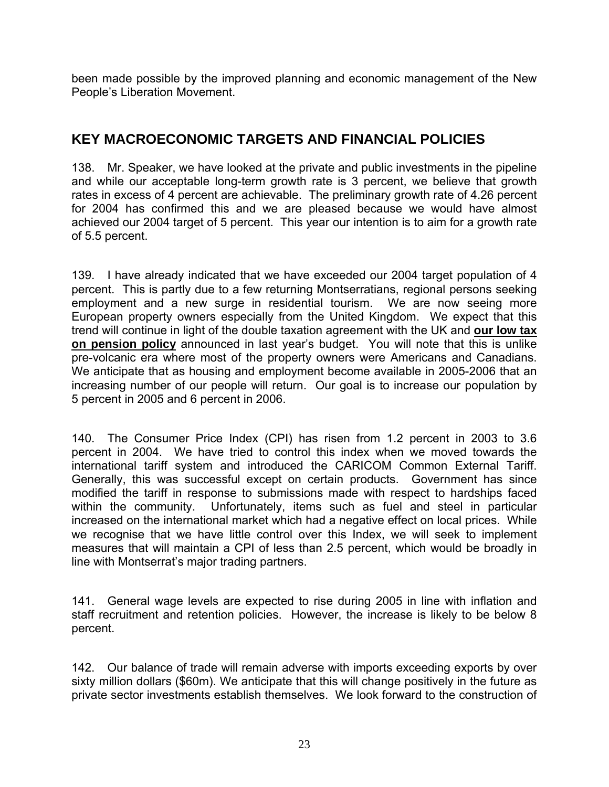been made possible by the improved planning and economic management of the New People's Liberation Movement.

## **KEY MACROECONOMIC TARGETS AND FINANCIAL POLICIES**

138. Mr. Speaker, we have looked at the private and public investments in the pipeline and while our acceptable long-term growth rate is 3 percent, we believe that growth rates in excess of 4 percent are achievable. The preliminary growth rate of 4.26 percent for 2004 has confirmed this and we are pleased because we would have almost achieved our 2004 target of 5 percent. This year our intention is to aim for a growth rate of 5.5 percent.

139. I have already indicated that we have exceeded our 2004 target population of 4 percent. This is partly due to a few returning Montserratians, regional persons seeking employment and a new surge in residential tourism. We are now seeing more European property owners especially from the United Kingdom. We expect that this trend will continue in light of the double taxation agreement with the UK and **our low tax on pension policy** announced in last year's budget. You will note that this is unlike pre-volcanic era where most of the property owners were Americans and Canadians. We anticipate that as housing and employment become available in 2005-2006 that an increasing number of our people will return. Our goal is to increase our population by 5 percent in 2005 and 6 percent in 2006.

140. The Consumer Price Index (CPI) has risen from 1.2 percent in 2003 to 3.6 percent in 2004. We have tried to control this index when we moved towards the international tariff system and introduced the CARICOM Common External Tariff. Generally, this was successful except on certain products. Government has since modified the tariff in response to submissions made with respect to hardships faced within the community. Unfortunately, items such as fuel and steel in particular increased on the international market which had a negative effect on local prices. While we recognise that we have little control over this Index, we will seek to implement measures that will maintain a CPI of less than 2.5 percent, which would be broadly in line with Montserrat's major trading partners.

141. General wage levels are expected to rise during 2005 in line with inflation and staff recruitment and retention policies. However, the increase is likely to be below 8 percent.

142. Our balance of trade will remain adverse with imports exceeding exports by over sixty million dollars (\$60m). We anticipate that this will change positively in the future as private sector investments establish themselves. We look forward to the construction of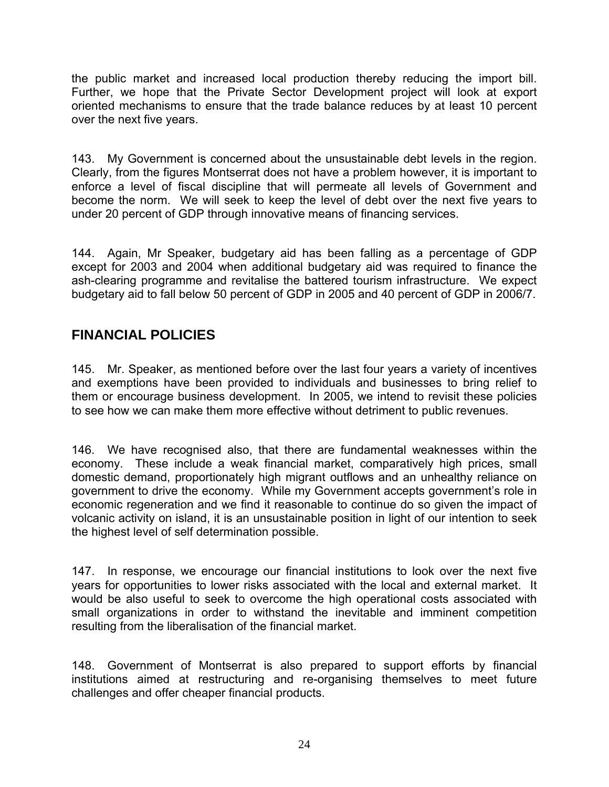the public market and increased local production thereby reducing the import bill. Further, we hope that the Private Sector Development project will look at export oriented mechanisms to ensure that the trade balance reduces by at least 10 percent over the next five years.

143. My Government is concerned about the unsustainable debt levels in the region. Clearly, from the figures Montserrat does not have a problem however, it is important to enforce a level of fiscal discipline that will permeate all levels of Government and become the norm. We will seek to keep the level of debt over the next five years to under 20 percent of GDP through innovative means of financing services.

144. Again, Mr Speaker, budgetary aid has been falling as a percentage of GDP except for 2003 and 2004 when additional budgetary aid was required to finance the ash-clearing programme and revitalise the battered tourism infrastructure. We expect budgetary aid to fall below 50 percent of GDP in 2005 and 40 percent of GDP in 2006/7.

## **FINANCIAL POLICIES**

145. Mr. Speaker, as mentioned before over the last four years a variety of incentives and exemptions have been provided to individuals and businesses to bring relief to them or encourage business development. In 2005, we intend to revisit these policies to see how we can make them more effective without detriment to public revenues.

146. We have recognised also, that there are fundamental weaknesses within the economy. These include a weak financial market, comparatively high prices, small domestic demand, proportionately high migrant outflows and an unhealthy reliance on government to drive the economy. While my Government accepts government's role in economic regeneration and we find it reasonable to continue do so given the impact of volcanic activity on island, it is an unsustainable position in light of our intention to seek the highest level of self determination possible.

147. In response, we encourage our financial institutions to look over the next five years for opportunities to lower risks associated with the local and external market. It would be also useful to seek to overcome the high operational costs associated with small organizations in order to withstand the inevitable and imminent competition resulting from the liberalisation of the financial market.

148. Government of Montserrat is also prepared to support efforts by financial institutions aimed at restructuring and re-organising themselves to meet future challenges and offer cheaper financial products.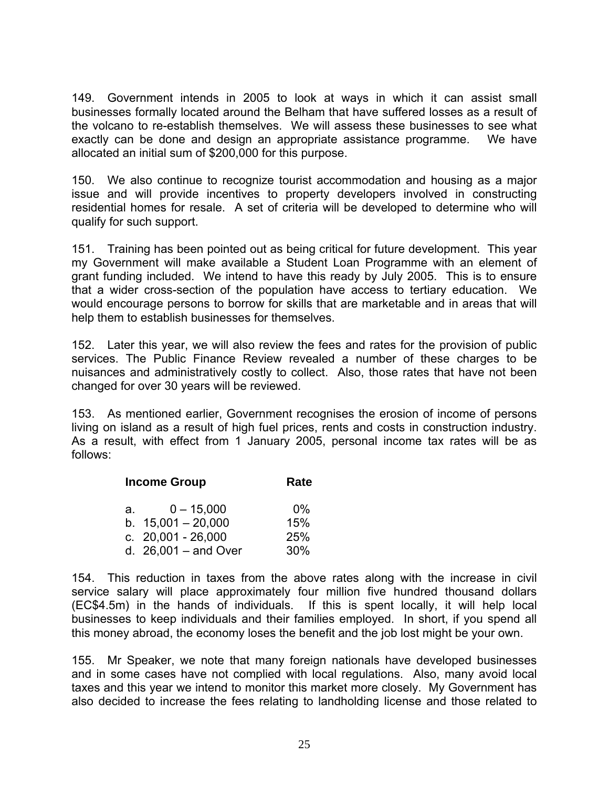149. Government intends in 2005 to look at ways in which it can assist small businesses formally located around the Belham that have suffered losses as a result of the volcano to re-establish themselves. We will assess these businesses to see what exactly can be done and design an appropriate assistance programme. We have allocated an initial sum of \$200,000 for this purpose.

150. We also continue to recognize tourist accommodation and housing as a major issue and will provide incentives to property developers involved in constructing residential homes for resale. A set of criteria will be developed to determine who will qualify for such support.

151. Training has been pointed out as being critical for future development. This year my Government will make available a Student Loan Programme with an element of grant funding included. We intend to have this ready by July 2005. This is to ensure that a wider cross-section of the population have access to tertiary education. We would encourage persons to borrow for skills that are marketable and in areas that will help them to establish businesses for themselves.

152. Later this year, we will also review the fees and rates for the provision of public services. The Public Finance Review revealed a number of these charges to be nuisances and administratively costly to collect. Also, those rates that have not been changed for over 30 years will be reviewed.

153. As mentioned earlier, Government recognises the erosion of income of persons living on island as a result of high fuel prices, rents and costs in construction industry. As a result, with effect from 1 January 2005, personal income tax rates will be as follows:

| <b>Income Group</b> |                        | Rate  |
|---------------------|------------------------|-------|
| а.                  | $0 - 15,000$           | $0\%$ |
|                     | b. $15.001 - 20.000$   | 15%   |
|                     | c. $20,001 - 26,000$   | 25%   |
|                     | d. $26,001 -$ and Over | 30%   |

154. This reduction in taxes from the above rates along with the increase in civil service salary will place approximately four million five hundred thousand dollars (EC\$4.5m) in the hands of individuals. If this is spent locally, it will help local businesses to keep individuals and their families employed. In short, if you spend all this money abroad, the economy loses the benefit and the job lost might be your own.

155. Mr Speaker, we note that many foreign nationals have developed businesses and in some cases have not complied with local regulations. Also, many avoid local taxes and this year we intend to monitor this market more closely. My Government has also decided to increase the fees relating to landholding license and those related to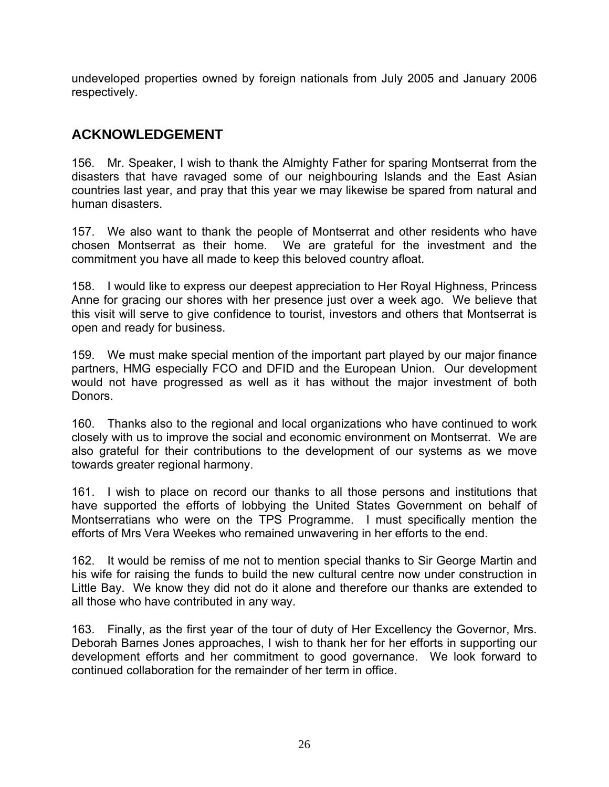undeveloped properties owned by foreign nationals from July 2005 and January 2006 respectively.

# **ACKNOWLEDGEMENT**

156. Mr. Speaker, I wish to thank the Almighty Father for sparing Montserrat from the disasters that have ravaged some of our neighbouring Islands and the East Asian countries last year, and pray that this year we may likewise be spared from natural and human disasters.

157. We also want to thank the people of Montserrat and other residents who have chosen Montserrat as their home. We are grateful for the investment and the commitment you have all made to keep this beloved country afloat.

158. I would like to express our deepest appreciation to Her Royal Highness, Princess Anne for gracing our shores with her presence just over a week ago. We believe that this visit will serve to give confidence to tourist, investors and others that Montserrat is open and ready for business.

159. We must make special mention of the important part played by our major finance partners, HMG especially FCO and DFID and the European Union. Our development would not have progressed as well as it has without the major investment of both Donors.

160. Thanks also to the regional and local organizations who have continued to work closely with us to improve the social and economic environment on Montserrat. We are also grateful for their contributions to the development of our systems as we move towards greater regional harmony.

161. I wish to place on record our thanks to all those persons and institutions that have supported the efforts of lobbying the United States Government on behalf of Montserratians who were on the TPS Programme. I must specifically mention the efforts of Mrs Vera Weekes who remained unwavering in her efforts to the end.

162. It would be remiss of me not to mention special thanks to Sir George Martin and his wife for raising the funds to build the new cultural centre now under construction in Little Bay. We know they did not do it alone and therefore our thanks are extended to all those who have contributed in any way.

163. Finally, as the first year of the tour of duty of Her Excellency the Governor, Mrs. Deborah Barnes Jones approaches, I wish to thank her for her efforts in supporting our development efforts and her commitment to good governance. We look forward to continued collaboration for the remainder of her term in office.